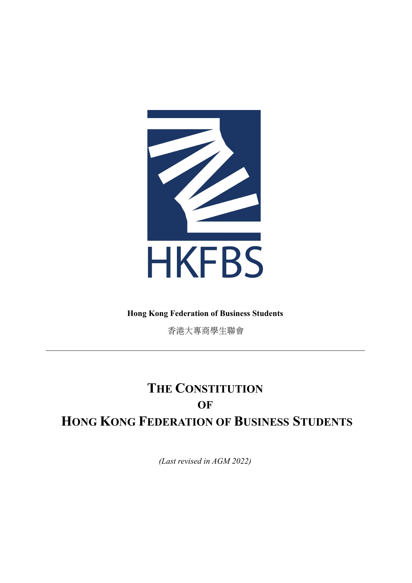

# **Hong Kong Federation of Business Students**

⾹港⼤專商學⽣聯會

# **THE CONSTITUTION OF HONG KONG FEDERATION OF BUSINESS STUDENTS**

*(Last revised in AGM 2022)*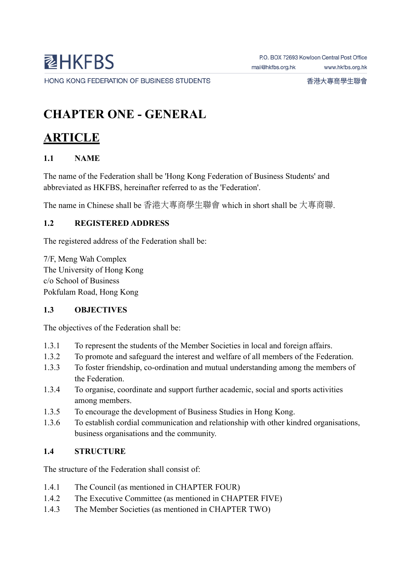# **CHAPTER ONE - GENERAL**

# **ARTICLE**

## **1.1 NAME**

The name of the Federation shall be 'Hong Kong Federation of Business Students' and abbreviated as HKFBS, hereinafter referred to as the 'Federation'.

The name in Chinese shall be ⾹港⼤專商學⽣聯會 which in short shall be ⼤專商聯.

## **1.2 REGISTERED ADDRESS**

The registered address of the Federation shall be:

7/F, Meng Wah Complex The University of Hong Kong c/o School of Business Pokfulam Road, Hong Kong

## **1.3 OBJECTIVES**

The objectives of the Federation shall be:

- 1.3.1 To represent the students of the Member Societies in local and foreign affairs.
- 1.3.2 To promote and safeguard the interest and welfare of all members of the Federation.
- 1.3.3 To foster friendship, co-ordination and mutual understanding among the members of the Federation.
- 1.3.4 To organise, coordinate and support further academic, social and sports activities among members.
- 1.3.5 To encourage the development of Business Studies in Hong Kong.
- 1.3.6 To establish cordial communication and relationship with other kindred organisations, business organisations and the community.

## **1.4 STRUCTURE**

The structure of the Federation shall consist of:

- 1.4.1 The Council (as mentioned in CHAPTER FOUR)
- 1.4.2 The Executive Committee (as mentioned in CHAPTER FIVE)
- 1.4.3 The Member Societies (as mentioned in CHAPTER TWO)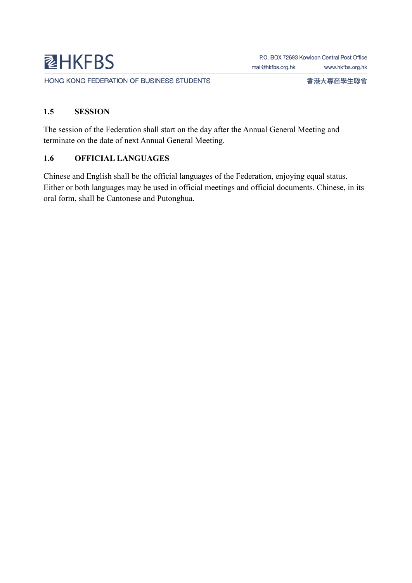香港大專商學生聯會

#### **1.5 SESSION**

The session of the Federation shall start on the day after the Annual General Meeting and terminate on the date of next Annual General Meeting.

### **1.6 OFFICIAL LANGUAGES**

Chinese and English shall be the official languages of the Federation, enjoying equal status. Either or both languages may be used in official meetings and official documents. Chinese, in its oral form, shall be Cantonese and Putonghua.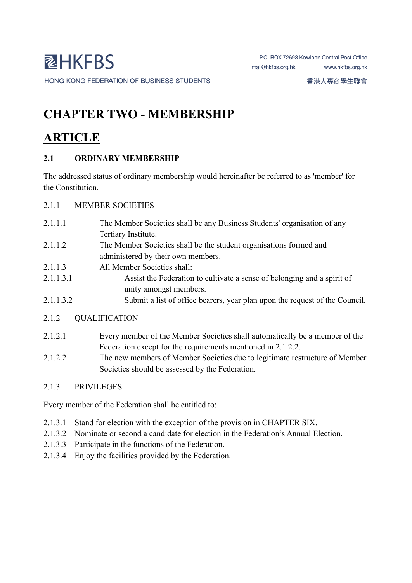# **CHAPTER TWO - MEMBERSHIP**

# **ARTICLE**

# **2.1 ORDINARY MEMBERSHIP**

The addressed status of ordinary membership would hereinafter be referred to as 'member' for the Constitution.

- 2.1.1 MEMBER SOCIETIES
- 2.1.1.1 The Member Societies shall be any Business Students' organisation of any Tertiary Institute.
- 2.1.1.2 The Member Societies shall be the student organisations formed and administered by their own members.
- 2.1.1.3 All Member Societies shall:
- 2.1.1.3.1 Assist the Federation to cultivate a sense of belonging and a spirit of unity amongst members.
- 2.1.1.3.2 Submit a list of office bearers, year plan upon the request of the Council.
- 2.1.2 QUALIFICATION
- 2.1.2.1 Every member of the Member Societies shall automatically be a member of the Federation except for the requirements mentioned in 2.1.2.2.
- 2.1.2.2 The new members of Member Societies due to legitimate restructure of Member Societies should be assessed by the Federation.

# 2.1.3 PRIVILEGES

Every member of the Federation shall be entitled to:

- 2.1.3.1 Stand for election with the exception of the provision in CHAPTER SIX.
- 2.1.3.2 Nominate or second a candidate for election in the Federation's Annual Election.
- 2.1.3.3 Participate in the functions of the Federation.
- 2.1.3.4 Enjoy the facilities provided by the Federation.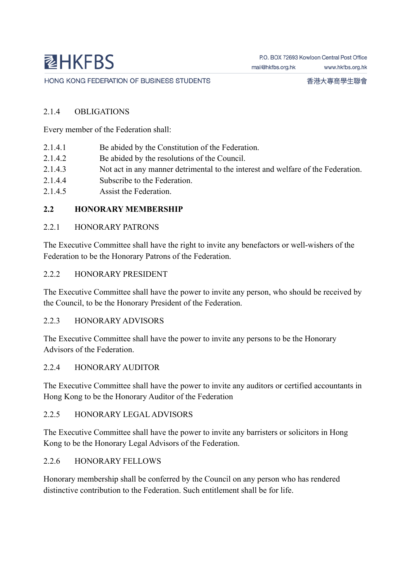#### 2.1.4 OBLIGATIONS

Every member of the Federation shall:

- 2.1.4.1 Be abided by the Constitution of the Federation.
- 2.1.4.2 Be abided by the resolutions of the Council.
- 2.1.4.3 Not act in any manner detrimental to the interest and welfare of the Federation.
- 2.1.4.4 Subscribe to the Federation.
- 2.1.4.5 Assist the Federation.

#### **2.2 HONORARY MEMBERSHIP**

#### 2.2.1 HONORARY PATRONS

The Executive Committee shall have the right to invite any benefactors or well-wishers of the Federation to be the Honorary Patrons of the Federation.

#### 2.2.2 HONORARY PRESIDENT

The Executive Committee shall have the power to invite any person, who should be received by the Council, to be the Honorary President of the Federation.

#### 2.2.3 HONORARY ADVISORS

The Executive Committee shall have the power to invite any persons to be the Honorary Advisors of the Federation.

#### 2.2.4 HONORARY AUDITOR

The Executive Committee shall have the power to invite any auditors or certified accountants in Hong Kong to be the Honorary Auditor of the Federation

#### 2.2.5 HONORARY LEGAL ADVISORS

The Executive Committee shall have the power to invite any barristers or solicitors in Hong Kong to be the Honorary Legal Advisors of the Federation.

#### 2.2.6 HONORARY FELLOWS

Honorary membership shall be conferred by the Council on any person who has rendered distinctive contribution to the Federation. Such entitlement shall be for life.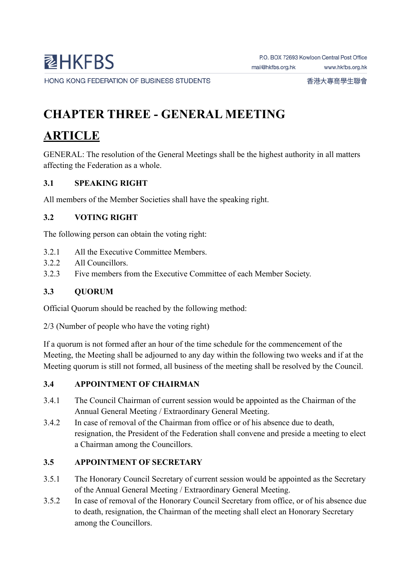香港大專商學生聯會

# **CHAPTER THREE - GENERAL MEETING**

# **ARTICLE**

GENERAL: The resolution of the General Meetings shall be the highest authority in all matters affecting the Federation as a whole.

# **3.1 SPEAKING RIGHT**

All members of the Member Societies shall have the speaking right.

# **3.2 VOTING RIGHT**

The following person can obtain the voting right:

- 3.2.1 All the Executive Committee Members.
- 3.2.2 All Councillors.
- 3.2.3 Five members from the Executive Committee of each Member Society.

# **3.3 QUORUM**

Official Quorum should be reached by the following method:

2/3 (Number of people who have the voting right)

If a quorum is not formed after an hour of the time schedule for the commencement of the Meeting, the Meeting shall be adjourned to any day within the following two weeks and if at the Meeting quorum is still not formed, all business of the meeting shall be resolved by the Council.

# **3.4 APPOINTMENT OF CHAIRMAN**

- 3.4.1 The Council Chairman of current session would be appointed as the Chairman of the Annual General Meeting / Extraordinary General Meeting.
- 3.4.2 In case of removal of the Chairman from office or of his absence due to death, resignation, the President of the Federation shall convene and preside a meeting to elect a Chairman among the Councillors.

# **3.5 APPOINTMENT OF SECRETARY**

- 3.5.1 The Honorary Council Secretary of current session would be appointed as the Secretary of the Annual General Meeting / Extraordinary General Meeting.
- 3.5.2 In case of removal of the Honorary Council Secretary from office, or of his absence due to death, resignation, the Chairman of the meeting shall elect an Honorary Secretary among the Councillors.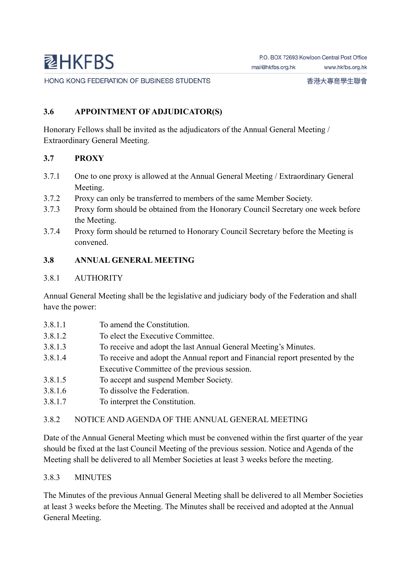HONG KONG FEDERATION OF BUSINESS STUDENTS

#### **3.6 APPOINTMENT OF ADJUDICATOR(S)**

Honorary Fellows shall be invited as the adjudicators of the Annual General Meeting / Extraordinary General Meeting.

#### **3.7 PROXY**

- 3.7.1 One to one proxy is allowed at the Annual General Meeting / Extraordinary General Meeting.
- 3.7.2 Proxy can only be transferred to members of the same Member Society.
- 3.7.3 Proxy form should be obtained from the Honorary Council Secretary one week before the Meeting.
- 3.7.4 Proxy form should be returned to Honorary Council Secretary before the Meeting is convened.

#### **3.8 ANNUAL GENERAL MEETING**

#### 3.8.1 AUTHORITY

Annual General Meeting shall be the legislative and judiciary body of the Federation and shall have the power:

- 3.8.1.1 To amend the Constitution.
- 3.8.1.2 To elect the Executive Committee.
- 3.8.1.3 To receive and adopt the last Annual General Meeting's Minutes.
- 3.8.1.4 To receive and adopt the Annual report and Financial report presented by the Executive Committee of the previous session.
- 3.8.1.5 To accept and suspend Member Society.
- 3.8.1.6 To dissolve the Federation.
- 3.8.1.7 To interpret the Constitution.

#### 3.8.2 NOTICE AND AGENDA OF THE ANNUAL GENERAL MEETING

Date of the Annual General Meeting which must be convened within the first quarter of the year should be fixed at the last Council Meeting of the previous session. Notice and Agenda of the Meeting shall be delivered to all Member Societies at least 3 weeks before the meeting.

#### 3.8.3 MINUTES

The Minutes of the previous Annual General Meeting shall be delivered to all Member Societies at least 3 weeks before the Meeting. The Minutes shall be received and adopted at the Annual General Meeting.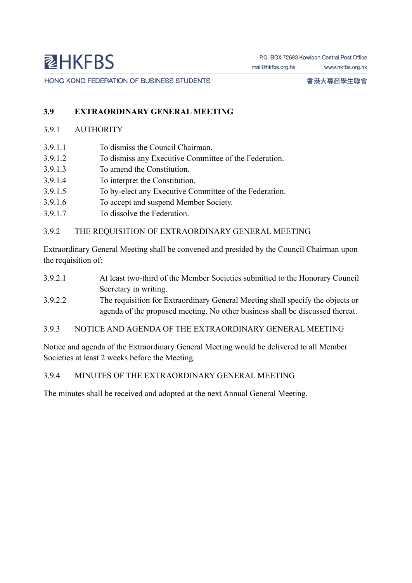### **3.9 EXTRAORDINARY GENERAL MEETING**

#### 3.9.1 AUTHORITY

- 3.9.1.1 To dismiss the Council Chairman.
- 3.9.1.2 To dismiss any Executive Committee of the Federation.
- 3.9.1.3 To amend the Constitution.
- 3.9.1.4 To interpret the Constitution.
- 3.9.1.5 To by-elect any Executive Committee of the Federation.
- 3.9.1.6 To accept and suspend Member Society.
- 3.9.1.7 To dissolve the Federation.

#### 3.9.2 THE REQUISITION OF EXTRAORDINARY GENERAL MEETING

Extraordinary General Meeting shall be convened and presided by the Council Chairman upon the requisition of:

- 3.9.2.1 At least two-third of the Member Societies submitted to the Honorary Council Secretary in writing.
- 3.9.2.2 The requisition for Extraordinary General Meeting shall specify the objects or agenda of the proposed meeting. No other business shall be discussed thereat.
- 3.9.3 NOTICE AND AGENDA OF THE EXTRAORDINARY GENERAL MEETING

Notice and agenda of the Extraordinary General Meeting would be delivered to all Member Societies at least 2 weeks before the Meeting.

#### 3.9.4 MINUTES OF THE EXTRAORDINARY GENERAL MEETING

The minutes shall be received and adopted at the next Annual General Meeting.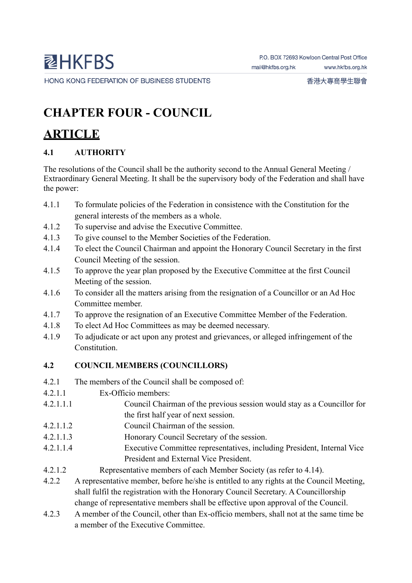# **CHAPTER FOUR - COUNCIL**

# **ARTICLE**

## **4.1 AUTHORITY**

The resolutions of the Council shall be the authority second to the Annual General Meeting / Extraordinary General Meeting. It shall be the supervisory body of the Federation and shall have the power:

- 4.1.1 To formulate policies of the Federation in consistence with the Constitution for the general interests of the members as a whole.
- 4.1.2 To supervise and advise the Executive Committee.
- 4.1.3 To give counsel to the Member Societies of the Federation.
- 4.1.4 To elect the Council Chairman and appoint the Honorary Council Secretary in the first Council Meeting of the session.
- 4.1.5 To approve the year plan proposed by the Executive Committee at the first Council Meeting of the session.
- 4.1.6 To consider all the matters arising from the resignation of a Councillor or an Ad Hoc Committee member.
- 4.1.7 To approve the resignation of an Executive Committee Member of the Federation.
- 4.1.8 To elect Ad Hoc Committees as may be deemed necessary.
- 4.1.9 To adjudicate or act upon any protest and grievances, or alleged infringement of the Constitution.

## **4.2 COUNCIL MEMBERS (COUNCILLORS)**

- 4.2.1 The members of the Council shall be composed of:
- 4.2.1.1 Ex-Officio members:
- 4.2.1.1.1 Council Chairman of the previous session would stay as a Councillor for the first half year of next session.
- 4.2.1.1.2 Council Chairman of the session.
- 4.2.1.1.3 Honorary Council Secretary of the session.
- 4.2.1.1.4 Executive Committee representatives, including President, Internal Vice President and External Vice President.
- 4.2.1.2 Representative members of each Member Society (as refer to 4.14).
- 4.2.2 A representative member, before he/she is entitled to any rights at the Council Meeting, shall fulfil the registration with the Honorary Council Secretary. A Councillorship change of representative members shall be effective upon approval of the Council.
- 4.2.3 A member of the Council, other than Ex-officio members, shall not at the same time be a member of the Executive Committee.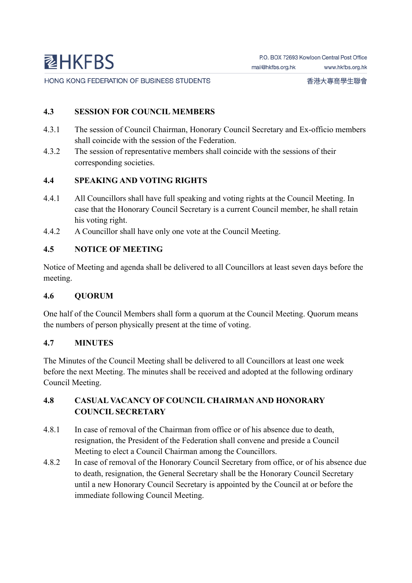#### **4.3 SESSION FOR COUNCIL MEMBERS**

- 4.3.1 The session of Council Chairman, Honorary Council Secretary and Ex-officio members shall coincide with the session of the Federation.
- 4.3.2 The session of representative members shall coincide with the sessions of their corresponding societies.

#### **4.4 SPEAKING AND VOTING RIGHTS**

- 4.4.1 All Councillors shall have full speaking and voting rights at the Council Meeting. In case that the Honorary Council Secretary is a current Council member, he shall retain his voting right.
- 4.4.2 A Councillor shall have only one vote at the Council Meeting.

#### **4.5 NOTICE OF MEETING**

Notice of Meeting and agenda shall be delivered to all Councillors at least seven days before the meeting.

#### **4.6 QUORUM**

One half of the Council Members shall form a quorum at the Council Meeting. Quorum means the numbers of person physically present at the time of voting.

#### **4.7 MINUTES**

The Minutes of the Council Meeting shall be delivered to all Councillors at least one week before the next Meeting. The minutes shall be received and adopted at the following ordinary Council Meeting.

### **4.8 CASUAL VACANCY OF COUNCIL CHAIRMAN AND HONORARY COUNCIL SECRETARY**

- 4.8.1 In case of removal of the Chairman from office or of his absence due to death, resignation, the President of the Federation shall convene and preside a Council Meeting to elect a Council Chairman among the Councillors.
- 4.8.2 In case of removal of the Honorary Council Secretary from office, or of his absence due to death, resignation, the General Secretary shall be the Honorary Council Secretary until a new Honorary Council Secretary is appointed by the Council at or before the immediate following Council Meeting.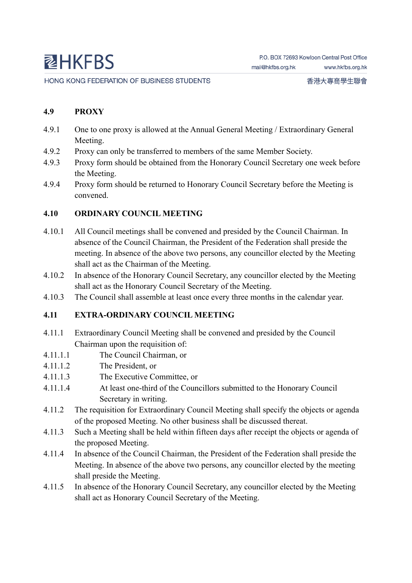HONG KONG FEDERATION OF BUSINESS STUDENTS

#### **4.9 PROXY**

- 4.9.1 One to one proxy is allowed at the Annual General Meeting / Extraordinary General Meeting.
- 4.9.2 Proxy can only be transferred to members of the same Member Society.
- 4.9.3 Proxy form should be obtained from the Honorary Council Secretary one week before the Meeting.
- 4.9.4 Proxy form should be returned to Honorary Council Secretary before the Meeting is convened.

#### **4.10 ORDINARY COUNCIL MEETING**

- 4.10.1 All Council meetings shall be convened and presided by the Council Chairman. In absence of the Council Chairman, the President of the Federation shall preside the meeting. In absence of the above two persons, any councillor elected by the Meeting shall act as the Chairman of the Meeting.
- 4.10.2 In absence of the Honorary Council Secretary, any councillor elected by the Meeting shall act as the Honorary Council Secretary of the Meeting.
- 4.10.3 The Council shall assemble at least once every three months in the calendar year.

### **4.11 EXTRA-ORDINARY COUNCIL MEETING**

- 4.11.1 Extraordinary Council Meeting shall be convened and presided by the Council Chairman upon the requisition of:
- 4.11.1.1 The Council Chairman, or
- 4.11.1.2 The President, or
- 4.11.1.3 The Executive Committee, or
- 4.11.1.4 At least one-third of the Councillors submitted to the Honorary Council Secretary in writing.
- 4.11.2 The requisition for Extraordinary Council Meeting shall specify the objects or agenda of the proposed Meeting. No other business shall be discussed thereat.
- 4.11.3 Such a Meeting shall be held within fifteen days after receipt the objects or agenda of the proposed Meeting.
- 4.11.4 In absence of the Council Chairman, the President of the Federation shall preside the Meeting. In absence of the above two persons, any councillor elected by the meeting shall preside the Meeting.
- 4.11.5 In absence of the Honorary Council Secretary, any councillor elected by the Meeting shall act as Honorary Council Secretary of the Meeting.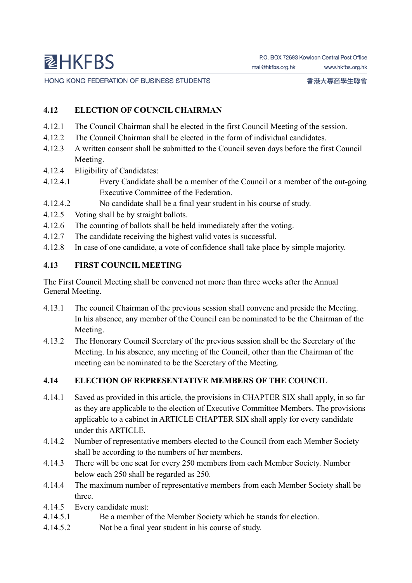HONG KONG FEDERATION OF BUSINESS STUDENTS

#### **4.12 ELECTION OF COUNCIL CHAIRMAN**

- 4.12.1 The Council Chairman shall be elected in the first Council Meeting of the session.
- 4.12.2 The Council Chairman shall be elected in the form of individual candidates.
- 4.12.3 A written consent shall be submitted to the Council seven days before the first Council Meeting.
- 4.12.4 Eligibility of Candidates:
- 4.12.4.1 Every Candidate shall be a member of the Council or a member of the out-going Executive Committee of the Federation.
- 4.12.4.2 No candidate shall be a final year student in his course of study.
- 4.12.5 Voting shall be by straight ballots.
- 4.12.6 The counting of ballots shall be held immediately after the voting.
- 4.12.7 The candidate receiving the highest valid votes is successful.
- 4.12.8 In case of one candidate, a vote of confidence shall take place by simple majority.

#### **4.13 FIRST COUNCIL MEETING**

The First Council Meeting shall be convened not more than three weeks after the Annual General Meeting.

- 4.13.1 The council Chairman of the previous session shall convene and preside the Meeting. In his absence, any member of the Council can be nominated to be the Chairman of the Meeting.
- 4.13.2 The Honorary Council Secretary of the previous session shall be the Secretary of the Meeting. In his absence, any meeting of the Council, other than the Chairman of the meeting can be nominated to be the Secretary of the Meeting.

#### **4.14 ELECTION OF REPRESENTATIVE MEMBERS OF THE COUNCIL**

- 4.14.1 Saved as provided in this article, the provisions in CHAPTER SIX shall apply, in so far as they are applicable to the election of Executive Committee Members. The provisions applicable to a cabinet in ARTICLE CHAPTER SIX shall apply for every candidate under this ARTICLE.
- 4.14.2 Number of representative members elected to the Council from each Member Society shall be according to the numbers of her members.
- 4.14.3 There will be one seat for every 250 members from each Member Society. Number below each 250 shall be regarded as 250.
- 4.14.4 The maximum number of representative members from each Member Society shall be three.
- 4.14.5 Every candidate must:
- 4.14.5.1 Be a member of the Member Society which he stands for election.
- 4.14.5.2 Not be a final year student in his course of study.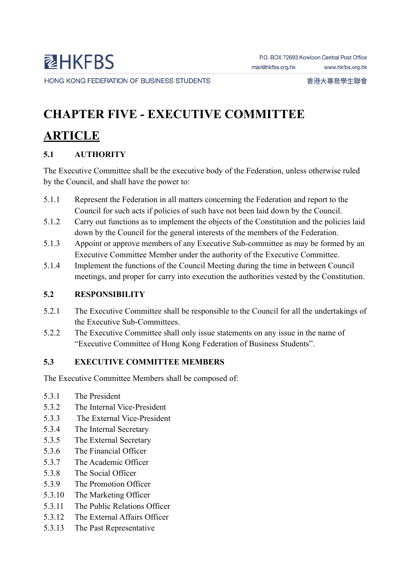香港大專商學生聯會

# **CHAPTER FIVE - EXECUTIVE COMMITTEE**

# **ARTICLE**

# **5.1 AUTHORITY**

The Executive Committee shall be the executive body of the Federation, unless otherwise ruled by the Council, and shall have the power to:

- 5.1.1 Represent the Federation in all matters concerning the Federation and report to the Council for such acts if policies of such have not been laid down by the Council.
- 5.1.2 Carry out functions as to implement the objects of the Constitution and the policies laid down by the Council for the general interests of the members of the Federation.
- 5.1.3 Appoint or approve members of any Executive Sub-committee as may be formed by an Executive Committee Member under the authority of the Executive Committee.
- 5.1.4 Implement the functions of the Council Meeting during the time in between Council meetings, and proper for carry into execution the authorities vested by the Constitution.

## **5.2 RESPONSIBILITY**

- 5.2.1 The Executive Committee shall be responsible to the Council for all the undertakings of the Executive Sub-Committees.
- 5.2.2 The Executive Committee shall only issue statements on any issue in the name of "Executive Committee of Hong Kong Federation of Business Students".

# **5.3 EXECUTIVE COMMITTEE MEMBERS**

The Executive Committee Members shall be composed of:

- 5.3.1 The President
- 5.3.2 The Internal Vice-President
- 5.3.3 The External Vice-President
- 5.3.4 The Internal Secretary
- 5.3.5 The External Secretary
- 5.3.6 The Financial Officer
- 5.3.7 The Academic Officer
- 5.3.8 The Social Officer
- 5.3.9 The Promotion Officer
- 5.3.10 The Marketing Officer
- 5.3.11 The Public Relations Officer
- 5.3.12 The External Affairs Officer
- 5.3.13 The Past Representative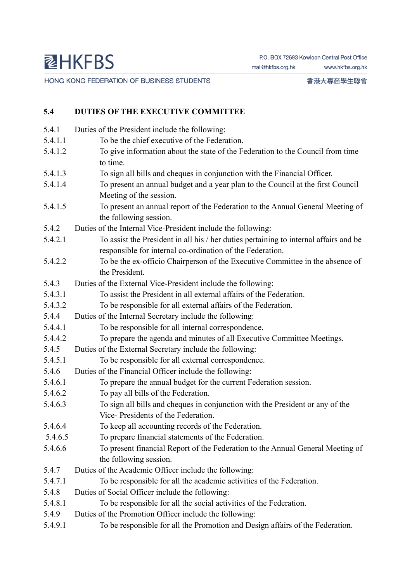HONG KONG FEDERATION OF BUSINESS STUDENTS

香港大專商學生聯會

## **5.4 DUTIES OF THE EXECUTIVE COMMITTEE**

| 5.4.1   | Duties of the President include the following:                                        |
|---------|---------------------------------------------------------------------------------------|
| 5.4.1.1 | To be the chief executive of the Federation.                                          |
| 5.4.1.2 | To give information about the state of the Federation to the Council from time        |
|         | to time.                                                                              |
| 5.4.1.3 | To sign all bills and cheques in conjunction with the Financial Officer.              |
| 5.4.1.4 | To present an annual budget and a year plan to the Council at the first Council       |
|         | Meeting of the session.                                                               |
| 5.4.1.5 | To present an annual report of the Federation to the Annual General Meeting of        |
|         | the following session.                                                                |
| 5.4.2   | Duties of the Internal Vice-President include the following:                          |
| 5.4.2.1 | To assist the President in all his / her duties pertaining to internal affairs and be |
|         | responsible for internal co-ordination of the Federation.                             |
| 5.4.2.2 | To be the ex-officio Chairperson of the Executive Committee in the absence of         |
|         | the President.                                                                        |
| 5.4.3   | Duties of the External Vice-President include the following:                          |
| 5.4.3.1 | To assist the President in all external affairs of the Federation.                    |
| 5.4.3.2 | To be responsible for all external affairs of the Federation.                         |
| 5.4.4   | Duties of the Internal Secretary include the following:                               |
| 5.4.4.1 | To be responsible for all internal correspondence.                                    |
| 5.4.4.2 | To prepare the agenda and minutes of all Executive Committee Meetings.                |
| 5.4.5   | Duties of the External Secretary include the following:                               |
| 5.4.5.1 | To be responsible for all external correspondence.                                    |
| 5.4.6   | Duties of the Financial Officer include the following:                                |
| 5.4.6.1 | To prepare the annual budget for the current Federation session.                      |
| 5.4.6.2 | To pay all bills of the Federation.                                                   |
| 5.4.6.3 | To sign all bills and cheques in conjunction with the President or any of the         |
|         | Vice-Presidents of the Federation.                                                    |
| 5.4.6.4 | To keep all accounting records of the Federation.                                     |
| 5.4.6.5 | To prepare financial statements of the Federation.                                    |
| 5.4.6.6 | To present financial Report of the Federation to the Annual General Meeting of        |
|         | the following session.                                                                |
| 5.4.7   | Duties of the Academic Officer include the following:                                 |
| 5.4.7.1 | To be responsible for all the academic activities of the Federation.                  |
| 5.4.8   | Duties of Social Officer include the following:                                       |
| 5.4.8.1 | To be responsible for all the social activities of the Federation.                    |
| 5.4.9   | Duties of the Promotion Officer include the following:                                |
| 5.4.9.1 | To be responsible for all the Promotion and Design affairs of the Federation.         |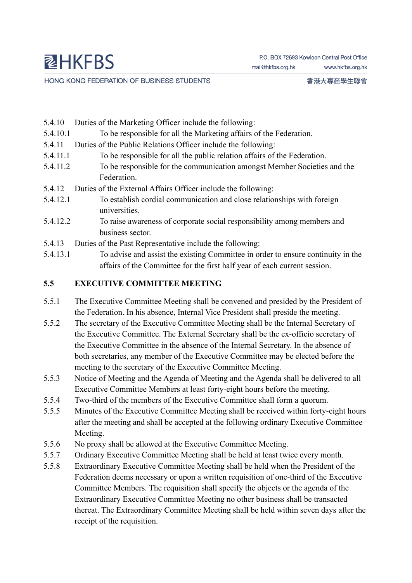- 5.4.10 Duties of the Marketing Officer include the following:
- 5.4.10.1 To be responsible for all the Marketing affairs of the Federation.
- 5.4.11 Duties of the Public Relations Officer include the following:
- 5.4.11.1 To be responsible for all the public relation affairs of the Federation.
- 5.4.11.2 To be responsible for the communication amongst Member Societies and the Federation.
- 5.4.12 Duties of the External Affairs Officer include the following:
- 5.4.12.1 To establish cordial communication and close relationships with foreign universities.
- 5.4.12.2 To raise awareness of corporate social responsibility among members and business sector.
- 5.4.13 Duties of the Past Representative include the following:
- 5.4.13.1 To advise and assist the existing Committee in order to ensure continuity in the affairs of the Committee for the first half year of each current session.

#### **5.5 EXECUTIVE COMMITTEE MEETING**

- 5.5.1 The Executive Committee Meeting shall be convened and presided by the President of the Federation. In his absence, Internal Vice President shall preside the meeting.
- 5.5.2 The secretary of the Executive Committee Meeting shall be the Internal Secretary of the Executive Committee. The External Secretary shall be the ex-officio secretary of the Executive Committee in the absence of the Internal Secretary. In the absence of both secretaries, any member of the Executive Committee may be elected before the meeting to the secretary of the Executive Committee Meeting.
- 5.5.3 Notice of Meeting and the Agenda of Meeting and the Agenda shall be delivered to all Executive Committee Members at least forty-eight hours before the meeting.
- 5.5.4 Two-third of the members of the Executive Committee shall form a quorum.
- 5.5.5 Minutes of the Executive Committee Meeting shall be received within forty-eight hours after the meeting and shall be accepted at the following ordinary Executive Committee Meeting.
- 5.5.6 No proxy shall be allowed at the Executive Committee Meeting.
- 5.5.7 Ordinary Executive Committee Meeting shall be held at least twice every month.
- 5.5.8 Extraordinary Executive Committee Meeting shall be held when the President of the Federation deems necessary or upon a written requisition of one-third of the Executive Committee Members. The requisition shall specify the objects or the agenda of the Extraordinary Executive Committee Meeting no other business shall be transacted thereat. The Extraordinary Committee Meeting shall be held within seven days after the receipt of the requisition.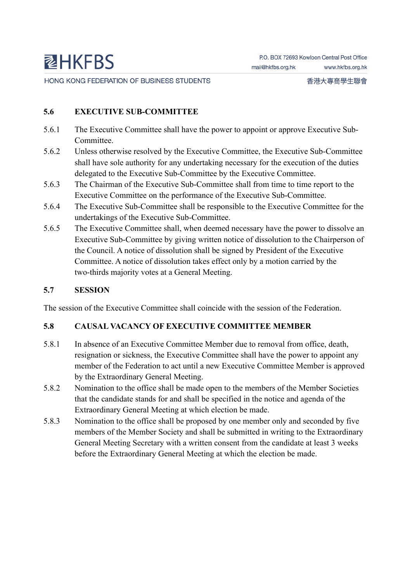HONG KONG FEDERATION OF BUSINESS STUDENTS

#### **5.6 EXECUTIVE SUB-COMMITTEE**

- 5.6.1 The Executive Committee shall have the power to appoint or approve Executive Sub-Committee.
- 5.6.2 Unless otherwise resolved by the Executive Committee, the Executive Sub-Committee shall have sole authority for any undertaking necessary for the execution of the duties delegated to the Executive Sub-Committee by the Executive Committee.
- 5.6.3 The Chairman of the Executive Sub-Committee shall from time to time report to the Executive Committee on the performance of the Executive Sub-Committee.
- 5.6.4 The Executive Sub-Committee shall be responsible to the Executive Committee for the undertakings of the Executive Sub-Committee.
- 5.6.5 The Executive Committee shall, when deemed necessary have the power to dissolve an Executive Sub-Committee by giving written notice of dissolution to the Chairperson of the Council. A notice of dissolution shall be signed by President of the Executive Committee. A notice of dissolution takes effect only by a motion carried by the two-thirds majority votes at a General Meeting.

#### **5.7 SESSION**

The session of the Executive Committee shall coincide with the session of the Federation.

#### **5.8 CAUSAL VACANCY OF EXECUTIVE COMMITTEE MEMBER**

- 5.8.1 In absence of an Executive Committee Member due to removal from office, death, resignation or sickness, the Executive Committee shall have the power to appoint any member of the Federation to act until a new Executive Committee Member is approved by the Extraordinary General Meeting.
- 5.8.2 Nomination to the office shall be made open to the members of the Member Societies that the candidate stands for and shall be specified in the notice and agenda of the Extraordinary General Meeting at which election be made.
- 5.8.3 Nomination to the office shall be proposed by one member only and seconded by five members of the Member Society and shall be submitted in writing to the Extraordinary General Meeting Secretary with a written consent from the candidate at least 3 weeks before the Extraordinary General Meeting at which the election be made.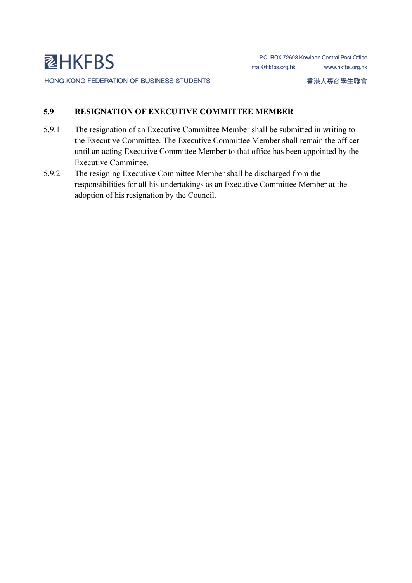### **5.9 RESIGNATION OF EXECUTIVE COMMITTEE MEMBER**

- 5.9.1 The resignation of an Executive Committee Member shall be submitted in writing to the Executive Committee. The Executive Committee Member shall remain the officer until an acting Executive Committee Member to that office has been appointed by the Executive Committee.
- 5.9.2 The resigning Executive Committee Member shall be discharged from the responsibilities for all his undertakings as an Executive Committee Member at the adoption of his resignation by the Council.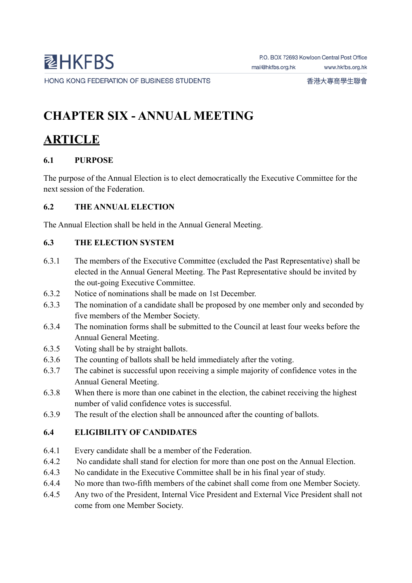# **CHAPTER SIX - ANNUAL MEETING**

# **ARTICLE**

## **6.1 PURPOSE**

The purpose of the Annual Election is to elect democratically the Executive Committee for the next session of the Federation.

### **6.2 THE ANNUAL ELECTION**

The Annual Election shall be held in the Annual General Meeting.

### **6.3 THE ELECTION SYSTEM**

- 6.3.1 The members of the Executive Committee (excluded the Past Representative) shall be elected in the Annual General Meeting. The Past Representative should be invited by the out-going Executive Committee.
- 6.3.2 Notice of nominations shall be made on 1st December.
- 6.3.3 The nomination of a candidate shall be proposed by one member only and seconded by five members of the Member Society.
- 6.3.4 The nomination forms shall be submitted to the Council at least four weeks before the Annual General Meeting.
- 6.3.5 Voting shall be by straight ballots.
- 6.3.6 The counting of ballots shall be held immediately after the voting.
- 6.3.7 The cabinet is successful upon receiving a simple majority of confidence votes in the Annual General Meeting.
- 6.3.8 When there is more than one cabinet in the election, the cabinet receiving the highest number of valid confidence votes is successful.
- 6.3.9 The result of the election shall be announced after the counting of ballots.

## **6.4 ELIGIBILITY OF CANDIDATES**

- 6.4.1 Every candidate shall be a member of the Federation.
- 6.4.2 No candidate shall stand for election for more than one post on the Annual Election.
- 6.4.3 No candidate in the Executive Committee shall be in his final year of study.
- 6.4.4 No more than two-fifth members of the cabinet shall come from one Member Society.
- 6.4.5 Any two of the President, Internal Vice President and External Vice President shall not come from one Member Society.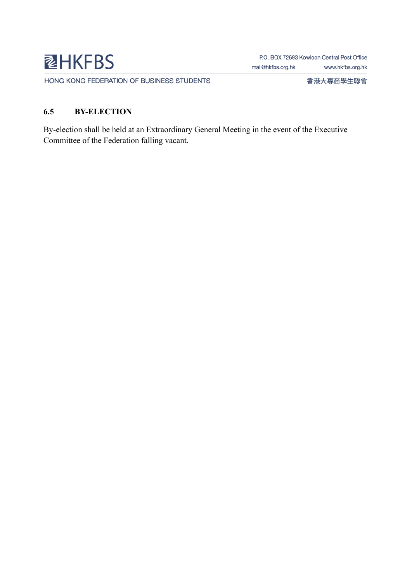

HONG KONG FEDERATION OF BUSINESS STUDENTS

香港大專商學生聯會

### **6.5 BY-ELECTION**

By-election shall be held at an Extraordinary General Meeting in the event of the Executive Committee of the Federation falling vacant.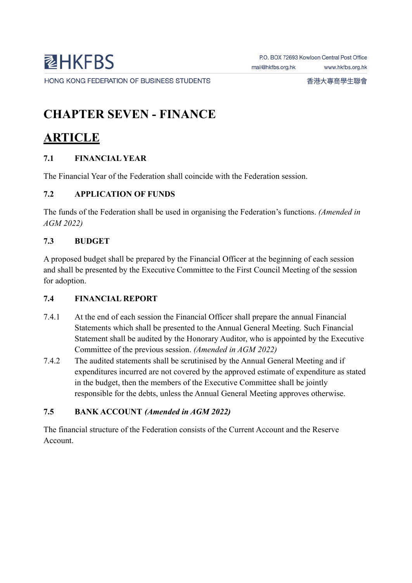# **CHAPTER SEVEN - FINANCE**

# **ARTICLE**

## **7.1 FINANCIAL YEAR**

The Financial Year of the Federation shall coincide with the Federation session.

### **7.2 APPLICATION OF FUNDS**

The funds of the Federation shall be used in organising the Federation's functions. *(Amended in AGM 2022)*

### **7.3 BUDGET**

A proposed budget shall be prepared by the Financial Officer at the beginning of each session and shall be presented by the Executive Committee to the First Council Meeting of the session for adoption.

#### **7.4 FINANCIAL REPORT**

- 7.4.1 At the end of each session the Financial Officer shall prepare the annual Financial Statements which shall be presented to the Annual General Meeting. Such Financial Statement shall be audited by the Honorary Auditor, who is appointed by the Executive Committee of the previous session. *(Amended in AGM 2022)*
- 7.4.2 The audited statements shall be scrutinised by the Annual General Meeting and if expenditures incurred are not covered by the approved estimate of expenditure as stated in the budget, then the members of the Executive Committee shall be jointly responsible for the debts, unless the Annual General Meeting approves otherwise.

## **7.5 BANK ACCOUNT** *(Amended in AGM 2022)*

The financial structure of the Federation consists of the Current Account and the Reserve Account.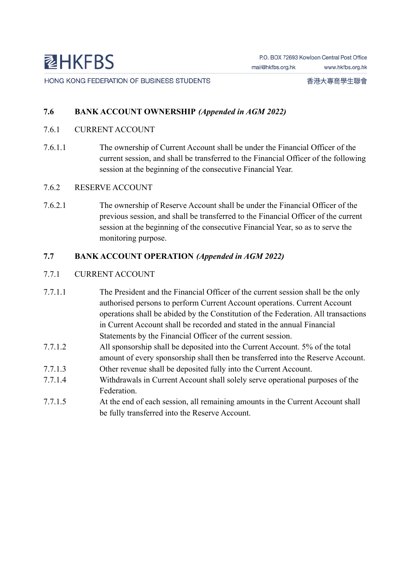#### **7.6 BANK ACCOUNT OWNERSHIP** *(Appended in AGM 2022)*

- 7.6.1 CURRENT ACCOUNT
- 7.6.1.1 The ownership of Current Account shall be under the Financial Officer of the current session, and shall be transferred to the Financial Officer of the following session at the beginning of the consecutive Financial Year.
- 7.6.2 RESERVE ACCOUNT
- 7.6.2.1 The ownership of Reserve Account shall be under the Financial Officer of the previous session, and shall be transferred to the Financial Officer of the current session at the beginning of the consecutive Financial Year, so as to serve the monitoring purpose.

#### **7.7 BANK ACCOUNT OPERATION** *(Appended in AGM 2022)*

#### 7.7.1 CURRENT ACCOUNT

- 7.7.1.1 The President and the Financial Officer of the current session shall be the only authorised persons to perform Current Account operations. Current Account operations shall be abided by the Constitution of the Federation. All transactions in Current Account shall be recorded and stated in the annual Financial Statements by the Financial Officer of the current session.
- 7.7.1.2 All sponsorship shall be deposited into the Current Account. 5% of the total amount of every sponsorship shall then be transferred into the Reserve Account.
- 7.7.1.3 Other revenue shall be deposited fully into the Current Account.
- 7.7.1.4 Withdrawals in Current Account shall solely serve operational purposes of the Federation.
- 7.7.1.5 At the end of each session, all remaining amounts in the Current Account shall be fully transferred into the Reserve Account.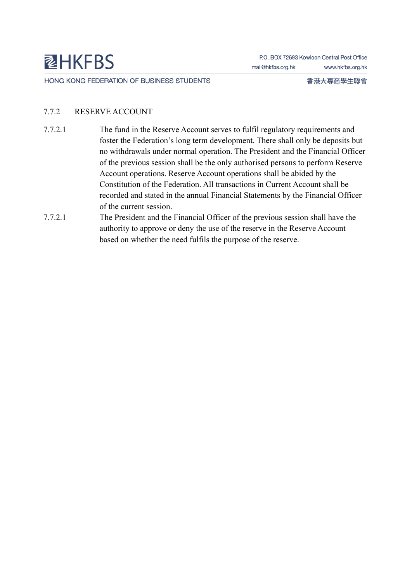HONG KONG FEDERATION OF BUSINESS STUDENTS

香港大專商學生聯會

### 7.7.2 RESERVE ACCOUNT

- 7.7.2.1 The fund in the Reserve Account serves to fulfil regulatory requirements and foster the Federation's long term development. There shall only be deposits but no withdrawals under normal operation. The President and the Financial Officer of the previous session shall be the only authorised persons to perform Reserve Account operations. Reserve Account operations shall be abided by the Constitution of the Federation. All transactions in Current Account shall be recorded and stated in the annual Financial Statements by the Financial Officer of the current session.
- 7.7.2.1 The President and the Financial Officer of the previous session shall have the authority to approve or deny the use of the reserve in the Reserve Account based on whether the need fulfils the purpose of the reserve.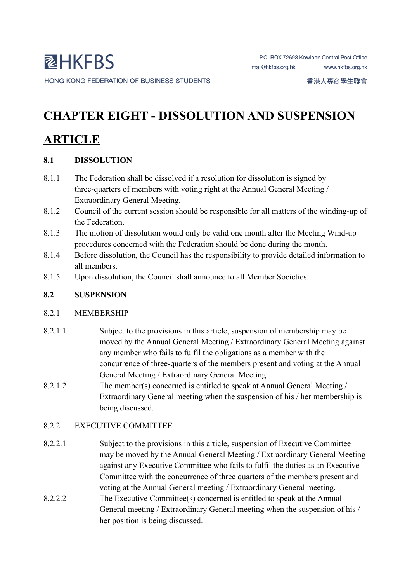# **CHAPTER EIGHT - DISSOLUTION AND SUSPENSION**

# **ARTICLE**

## **8.1 DISSOLUTION**

- 8.1.1 The Federation shall be dissolved if a resolution for dissolution is signed by three-quarters of members with voting right at the Annual General Meeting / Extraordinary General Meeting.
- 8.1.2 Council of the current session should be responsible for all matters of the winding-up of the Federation.
- 8.1.3 The motion of dissolution would only be valid one month after the Meeting Wind-up procedures concerned with the Federation should be done during the month.
- 8.1.4 Before dissolution, the Council has the responsibility to provide detailed information to all members.
- 8.1.5 Upon dissolution, the Council shall announce to all Member Societies.

## **8.2 SUSPENSION**

#### 8.2.1 MEMBERSHIP

- 8.2.1.1 Subject to the provisions in this article, suspension of membership may be moved by the Annual General Meeting / Extraordinary General Meeting against any member who fails to fulfil the obligations as a member with the concurrence of three-quarters of the members present and voting at the Annual General Meeting / Extraordinary General Meeting.
- 8.2.1.2 The member(s) concerned is entitled to speak at Annual General Meeting / Extraordinary General meeting when the suspension of his / her membership is being discussed.

## 8.2.2 EXECUTIVE COMMITTEE

- 8.2.2.1 Subject to the provisions in this article, suspension of Executive Committee may be moved by the Annual General Meeting / Extraordinary General Meeting against any Executive Committee who fails to fulfil the duties as an Executive Committee with the concurrence of three quarters of the members present and voting at the Annual General meeting / Extraordinary General meeting.
- 8.2.2.2 The Executive Committee(s) concerned is entitled to speak at the Annual General meeting / Extraordinary General meeting when the suspension of his / her position is being discussed.